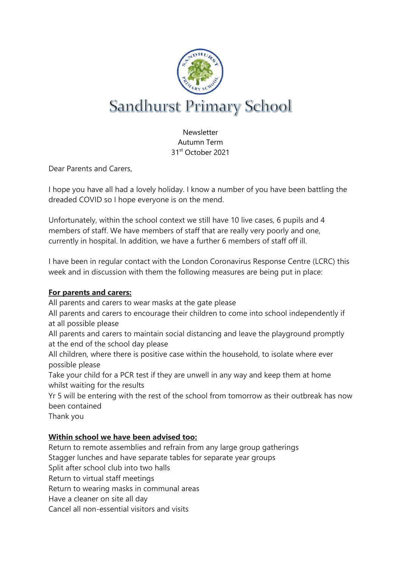

**Newsletter** Autumn Term 31 st October 2021

Dear Parents and Carers,

I hope you have all had a lovely holiday. I know a number of you have been battling the dreaded COVID so I hope everyone is on the mend.

Unfortunately, within the school context we still have 10 live cases, 6 pupils and 4 members of staff. We have members of staff that are really very poorly and one, currently in hospital. In addition, we have a further 6 members of staff off ill.

I have been in regular contact with the London Coronavirus Response Centre (LCRC) this week and in discussion with them the following measures are being put in place:

## **For parents and carers:**

All parents and carers to wear masks at the gate please

All parents and carers to encourage their children to come into school independently if at all possible please

All parents and carers to maintain social distancing and leave the playground promptly at the end of the school day please

All children, where there is positive case within the household, to isolate where ever possible please

Take your child for a PCR test if they are unwell in any way and keep them at home whilst waiting for the results

Yr 5 will be entering with the rest of the school from tomorrow as their outbreak has now been contained

Thank you

## **Within school we have been advised too:**

Return to remote assemblies and refrain from any large group gatherings Stagger lunches and have separate tables for separate year groups Split after school club into two halls Return to virtual staff meetings Return to wearing masks in communal areas Have a cleaner on site all day Cancel all non-essential visitors and visits